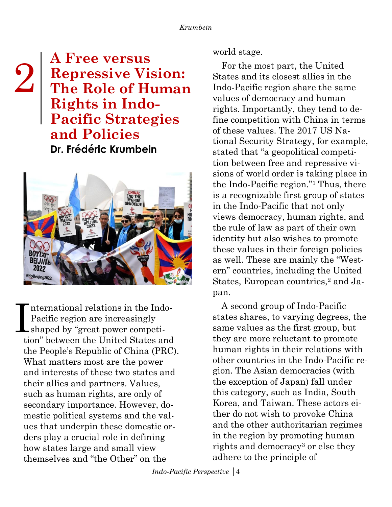## **A Free versus Repressive Vision: The Role of Human Rights in Indo-Pacific Strategies and Policies Dr. Frédéric Krumbein** 2



nternational relations in the Indo-Pacific region are increasingly International relations in the Ind<br>Pacific region are increasingly<br>shaped by "great power competition" between the United States and the People's Republic of China (PRC). What matters most are the power and interests of these two states and their allies and partners. Values, such as human rights, are only of secondary importance. However, domestic political systems and the values that underpin these domestic orders play a crucial role in defining how states large and small view themselves and "the Other" on the

world stage.

For the most part, the United States and its closest allies in the Indo-Pacific region share the same values of democracy and human rights. Importantly, they tend to define competition with China in terms of these values. The 2017 US National Security Strategy, for example, stated that "a geopolitical competition between free and repressive visions of world order is taking place in the Indo-Pacific region."<sup>1</sup> Thus, there is a recognizable first group of states in the Indo-Pacific that not only views democracy, human rights, and the rule of law as part of their own identity but also wishes to promote these values in their foreign policies as well. These are mainly the "Western" countries, including the United States, European countries,<sup>2</sup> and Japan.

A second group of Indo-Pacific states shares, to varying degrees, the same values as the first group, but they are more reluctant to promote human rights in their relations with other countries in the Indo-Pacific region. The Asian democracies (with the exception of Japan) fall under this category, such as India, South Korea, and Taiwan. These actors either do not wish to provoke China and the other authoritarian regimes in the region by promoting human rights and democracy<sup>3</sup> or else they adhere to the principle of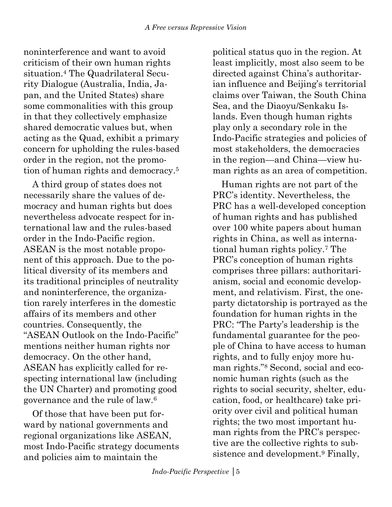noninterference and want to avoid criticism of their own human rights situation.<sup>4</sup> The Quadrilateral Security Dialogue (Australia, India, Japan, and the United States) share some commonalities with this group in that they collectively emphasize shared democratic values but, when acting as the Quad, exhibit a primary concern for upholding the rules-based order in the region, not the promotion of human rights and democracy.<sup>5</sup>

A third group of states does not necessarily share the values of democracy and human rights but does nevertheless advocate respect for international law and the rules-based order in the Indo-Pacific region. ASEAN is the most notable proponent of this approach. Due to the political diversity of its members and its traditional principles of neutrality and noninterference, the organization rarely interferes in the domestic affairs of its members and other countries. Consequently, the "ASEAN Outlook on the Indo-Pacific" mentions neither human rights nor democracy. On the other hand, ASEAN has explicitly called for respecting international law (including the UN Charter) and promoting good governance and the rule of law.<sup>6</sup>

Of those that have been put forward by national governments and regional organizations like ASEAN, most Indo-Pacific strategy documents and policies aim to maintain the

political status quo in the region. At least implicitly, most also seem to be directed against China's authoritarian influence and Beijing's territorial claims over Taiwan, the South China Sea, and the Diaoyu/Senkaku Islands. Even though human rights play only a secondary role in the Indo-Pacific strategies and policies of most stakeholders, the democracies in the region—and China—view human rights as an area of competition.

Human rights are not part of the PRC's identity. Nevertheless, the PRC has a well-developed conception of human rights and has published over 100 white papers about human rights in China, as well as international human rights policy.<sup>7</sup> The PRC's conception of human rights comprises three pillars: authoritarianism, social and economic development, and relativism. First, the oneparty dictatorship is portrayed as the foundation for human rights in the PRC: "The Party's leadership is the fundamental guarantee for the people of China to have access to human rights, and to fully enjoy more human rights."<sup>8</sup> Second, social and economic human rights (such as the rights to social security, shelter, education, food, or healthcare) take priority over civil and political human rights; the two most important human rights from the PRC's perspective are the collective rights to subsistence and development.<sup>9</sup> Finally,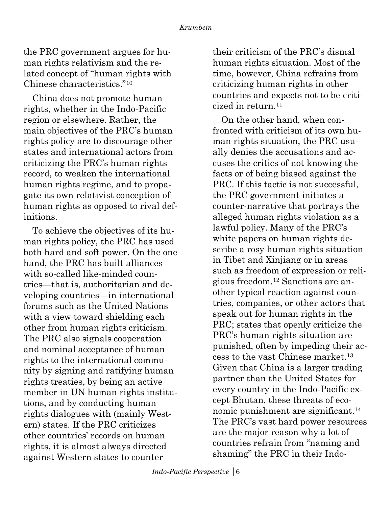the PRC government argues for human rights relativism and the related concept of "human rights with Chinese characteristics."<sup>10</sup>

China does not promote human rights, whether in the Indo-Pacific region or elsewhere. Rather, the main objectives of the PRC's human rights policy are to discourage other states and international actors from criticizing the PRC's human rights record, to weaken the international human rights regime, and to propagate its own relativist conception of human rights as opposed to rival definitions.

To achieve the objectives of its human rights policy, the PRC has used both hard and soft power. On the one hand, the PRC has built alliances with so-called like-minded countries—that is, authoritarian and developing countries—in international forums such as the United Nations with a view toward shielding each other from human rights criticism. The PRC also signals cooperation and nominal acceptance of human rights to the international community by signing and ratifying human rights treaties, by being an active member in UN human rights institutions, and by conducting human rights dialogues with (mainly Western) states. If the PRC criticizes other countries' records on human rights, it is almost always directed against Western states to counter

their criticism of the PRC's dismal human rights situation. Most of the time, however, China refrains from criticizing human rights in other countries and expects not to be criticized in return.<sup>11</sup>

On the other hand, when confronted with criticism of its own human rights situation, the PRC usually denies the accusations and accuses the critics of not knowing the facts or of being biased against the PRC. If this tactic is not successful, the PRC government initiates a counter-narrative that portrays the alleged human rights violation as a lawful policy. Many of the PRC's white papers on human rights describe a rosy human rights situation in Tibet and Xinjiang or in areas such as freedom of expression or religious freedom.<sup>12</sup> Sanctions are another typical reaction against countries, companies, or other actors that speak out for human rights in the PRC; states that openly criticize the PRC's human rights situation are punished, often by impeding their access to the vast Chinese market.<sup>13</sup> Given that China is a larger trading partner than the United States for every country in the Indo-Pacific except Bhutan, these threats of economic punishment are significant.<sup>14</sup> The PRC's vast hard power resources are the major reason why a lot of countries refrain from "naming and shaming" the PRC in their Indo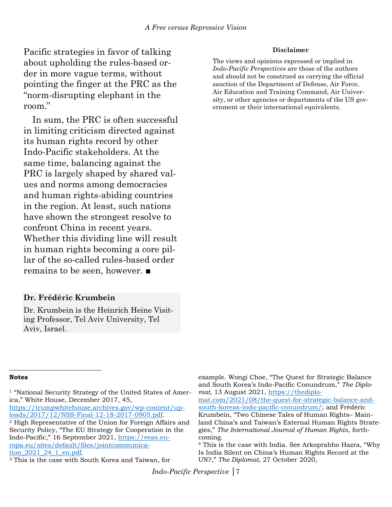Pacific strategies in favor of talking about upholding the rules-based order in more vague terms, without pointing the finger at the PRC as the "norm-disrupting elephant in the room."

In sum, the PRC is often successful in limiting criticism directed against its human rights record by other Indo-Pacific stakeholders. At the same time, balancing against the PRC is largely shaped by shared values and norms among democracies and human rights-abiding countries in the region. At least, such nations have shown the strongest resolve to confront China in recent years. Whether this dividing line will result in human rights becoming a core pillar of the so-called rules-based order remains to be seen, however. ■

## **Dr. Frédéric Krumbein**

Dr. Krumbein is the Heinrich Heine Visiting Professor, Tel Aviv University, Tel Aviv, Israel.

## **Disclaimer**

The views and opinions expressed or implied in *Indo-Pacific Perspectives* are those of the authors and should not be construed as carrying the official sanction of the Department of Defense, Air Force, Air Education and Training Command, Air University, or other agencies or departments of the US government or their international equivalents.

## **Notes**

[loads/2017/12/NSS-Final-12-18-2017-0905.pdf.](https://trumpwhitehouse.archives.gov/wp-content/uploads/2017/12/NSS-Final-12-18-2017-0905.pdf)

<sup>2</sup> High Representative of the Union for Foreign Affairs and Security Policy, "The EU Strategy for Cooperation in the Indo-Pacific," 16 September 2021, [https://eeas.eu](https://eeas.europa.eu/sites/default/files/jointcommunication_2021_24_1_en.pdf)[ropa.eu/sites/default/files/jointcommunica](https://eeas.europa.eu/sites/default/files/jointcommunication_2021_24_1_en.pdf)[tion\\_2021\\_24\\_1\\_en.pdf.](https://eeas.europa.eu/sites/default/files/jointcommunication_2021_24_1_en.pdf)

example. Wongi Choe, "The Quest for Strategic Balance and South Korea's Indo-Pacific Conundrum," *The Diplomat*, 13 August 2021, [https://thediplo-](https://thediplomat.com/2021/08/the-quest-for-strategic-balance-and-south-koreas-indo-pacific-conundrum/)

[mat.com/2021/08/the-quest-for-strategic-balance-and](https://thediplomat.com/2021/08/the-quest-for-strategic-balance-and-south-koreas-indo-pacific-conundrum/)[south-koreas-indo-pacific-conundrum/;](https://thediplomat.com/2021/08/the-quest-for-strategic-balance-and-south-koreas-indo-pacific-conundrum/) and Frédéric

Krumbein, "Two Chinese Tales of Human Rights– Mainland China's and Taiwan's External Human Rights Strategies," *The International Journal of Human Rights*, forthcoming.

<sup>4</sup> This is the case with India. See Arkoprabho Hazra, "Why Is India Silent on China's Human Rights Record at the UN?," *The Diplomat*, 27 October 2020,

*Indo-Pacific Perspective* │7

<sup>&</sup>lt;sup>1</sup> "National Security Strategy of the United States of America," White House, December 2017, 45, [https://trumpwhitehouse.archives.gov/wp-content/up-](https://trumpwhitehouse.archives.gov/wp-content/uploads/2017/12/NSS-Final-12-18-2017-0905.pdf)

<sup>3</sup> This is the case with South Korea and Taiwan, for